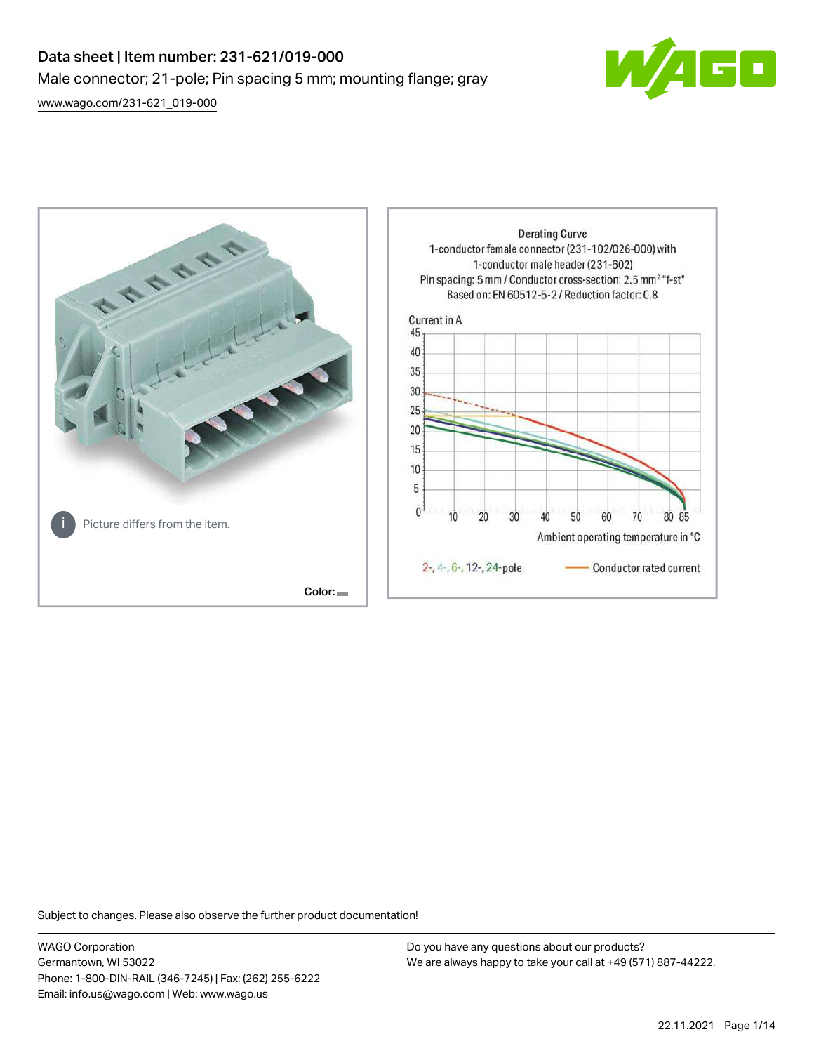# Data sheet | Item number: 231-621/019-000 Male connector; 21-pole; Pin spacing 5 mm; mounting flange; gray

[www.wago.com/231-621\\_019-000](http://www.wago.com/231-621_019-000)





Subject to changes. Please also observe the further product documentation!

WAGO Corporation Germantown, WI 53022 Phone: 1-800-DIN-RAIL (346-7245) | Fax: (262) 255-6222 Email: info.us@wago.com | Web: www.wago.us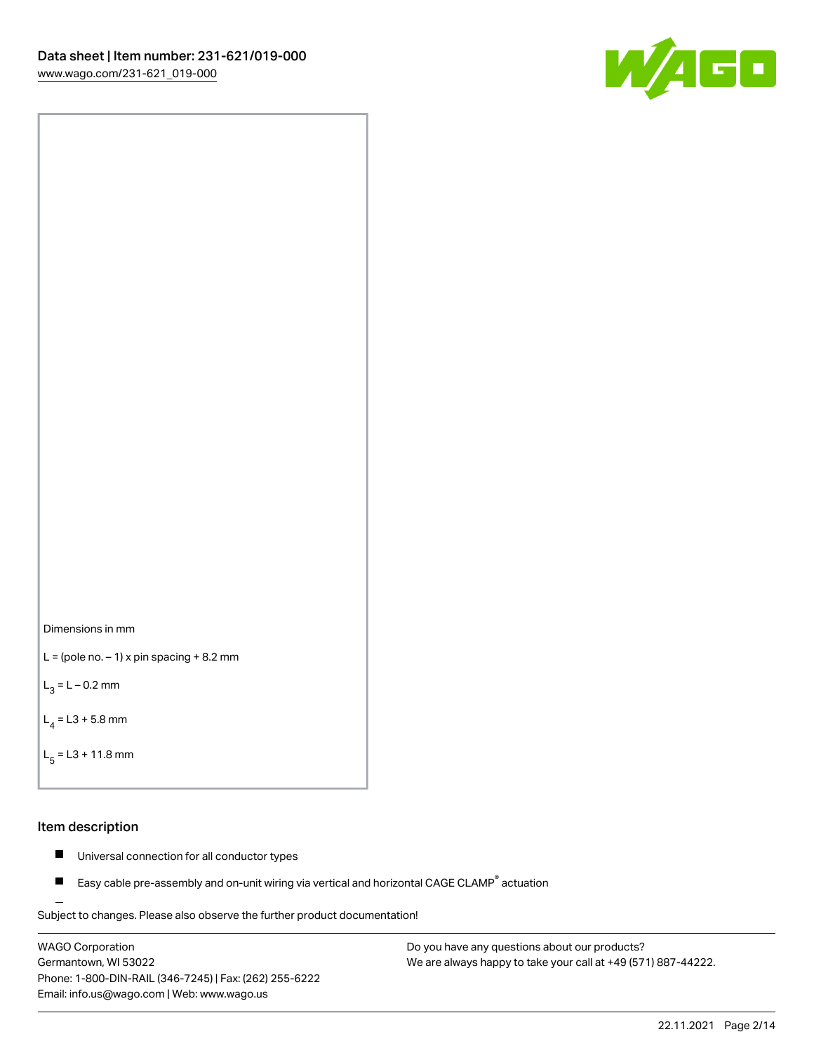



```
L = (pole no. -1) x pin spacing +8.2 mm
```
 $L_3 = L - 0.2$  mm

```
L_4 = L3 + 5.8 mm
```

```
L_{\rm g} = L3 + 11.8 mm
```
#### Item description

- $\blacksquare$ Universal connection for all conductor types
- Easy cable pre-assembly and on-unit wiring via vertical and horizontal CAGE CLAMP<sup>®</sup> actuation  $\blacksquare$

Subject to changes. Please also observe the further product documentation! For wire-to-wire and board-to-wire connections

WAGO Corporation Germantown, WI 53022 Phone: 1-800-DIN-RAIL (346-7245) | Fax: (262) 255-6222 Email: info.us@wago.com | Web: www.wago.us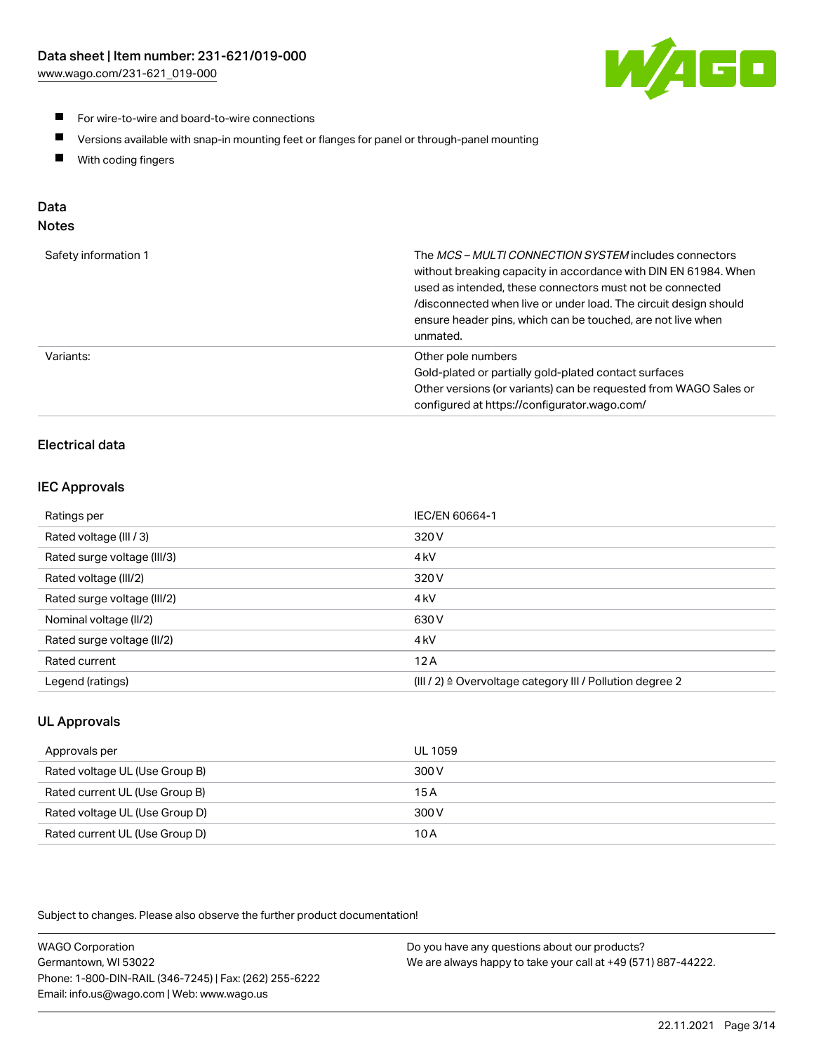

- For wire-to-wire and board-to-wire connections
- $\blacksquare$ Versions available with snap-in mounting feet or flanges for panel or through-panel mounting
- $\blacksquare$ With coding fingers

# Data

## Notes

| Safety information 1 | The MCS-MULTI CONNECTION SYSTEM includes connectors<br>without breaking capacity in accordance with DIN EN 61984. When<br>used as intended, these connectors must not be connected<br>/disconnected when live or under load. The circuit design should<br>ensure header pins, which can be touched, are not live when<br>unmated. |
|----------------------|-----------------------------------------------------------------------------------------------------------------------------------------------------------------------------------------------------------------------------------------------------------------------------------------------------------------------------------|
| Variants:            | Other pole numbers<br>Gold-plated or partially gold-plated contact surfaces<br>Other versions (or variants) can be requested from WAGO Sales or<br>configured at https://configurator.wago.com/                                                                                                                                   |

# Electrical data

#### IEC Approvals

| Ratings per                 | IEC/EN 60664-1                                                        |
|-----------------------------|-----------------------------------------------------------------------|
| Rated voltage (III / 3)     | 320 V                                                                 |
| Rated surge voltage (III/3) | 4 <sub>k</sub> V                                                      |
| Rated voltage (III/2)       | 320 V                                                                 |
| Rated surge voltage (III/2) | 4 <sub>k</sub> V                                                      |
| Nominal voltage (II/2)      | 630 V                                                                 |
| Rated surge voltage (II/2)  | 4 <sub>k</sub> V                                                      |
| Rated current               | 12A                                                                   |
| Legend (ratings)            | $(III / 2)$ $\triangle$ Overvoltage category III / Pollution degree 2 |

## UL Approvals

| Approvals per                  | UL 1059 |
|--------------------------------|---------|
| Rated voltage UL (Use Group B) | 300 V   |
| Rated current UL (Use Group B) | 15 A    |
| Rated voltage UL (Use Group D) | 300 V   |
| Rated current UL (Use Group D) | 10 A    |

| <b>WAGO Corporation</b>                                | Do you have any questions about our products?                 |
|--------------------------------------------------------|---------------------------------------------------------------|
| Germantown, WI 53022                                   | We are always happy to take your call at +49 (571) 887-44222. |
| Phone: 1-800-DIN-RAIL (346-7245)   Fax: (262) 255-6222 |                                                               |
| Email: info.us@wago.com   Web: www.wago.us             |                                                               |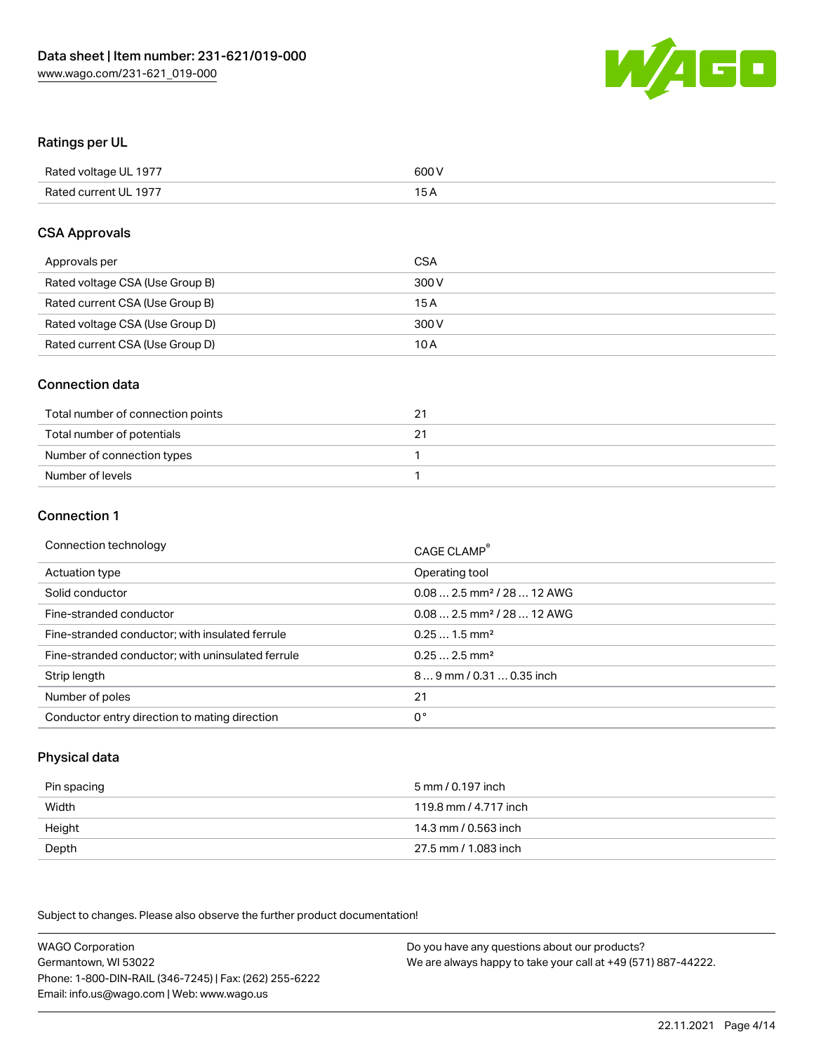

# Ratings per UL

| Rated voltage UL 1977 | 600 V |
|-----------------------|-------|
| Rated current UL 1977 | 1 E   |

#### CSA Approvals

| Approvals per                   | CSA   |
|---------------------------------|-------|
| Rated voltage CSA (Use Group B) | 300 V |
| Rated current CSA (Use Group B) | 15 A  |
| Rated voltage CSA (Use Group D) | 300 V |
| Rated current CSA (Use Group D) | 10 A  |

## Connection data

| Total number of connection points | 2. |
|-----------------------------------|----|
| Total number of potentials        |    |
| Number of connection types        |    |
| Number of levels                  |    |

#### Connection 1

| Connection technology                             | CAGE CLAMP <sup>®</sup>                |
|---------------------------------------------------|----------------------------------------|
| Actuation type                                    | Operating tool                         |
| Solid conductor                                   | $0.082.5$ mm <sup>2</sup> / 28  12 AWG |
| Fine-stranded conductor                           | $0.082.5$ mm <sup>2</sup> / 28  12 AWG |
| Fine-stranded conductor; with insulated ferrule   | $0.251.5$ mm <sup>2</sup>              |
| Fine-stranded conductor; with uninsulated ferrule | $0.252.5$ mm <sup>2</sup>              |
| Strip length                                      | 89 mm / 0.31  0.35 inch                |
| Number of poles                                   | 21                                     |
| Conductor entry direction to mating direction     | 0°                                     |

# Physical data

| Pin spacing | 5 mm / 0.197 inch     |
|-------------|-----------------------|
| Width       | 119.8 mm / 4.717 inch |
| Height      | 14.3 mm / 0.563 inch  |
| Depth       | 27.5 mm / 1.083 inch  |

| <b>WAGO Corporation</b>                                | Do you have any questions about our products?                 |
|--------------------------------------------------------|---------------------------------------------------------------|
| Germantown, WI 53022                                   | We are always happy to take your call at +49 (571) 887-44222. |
| Phone: 1-800-DIN-RAIL (346-7245)   Fax: (262) 255-6222 |                                                               |
| Email: info.us@wago.com   Web: www.wago.us             |                                                               |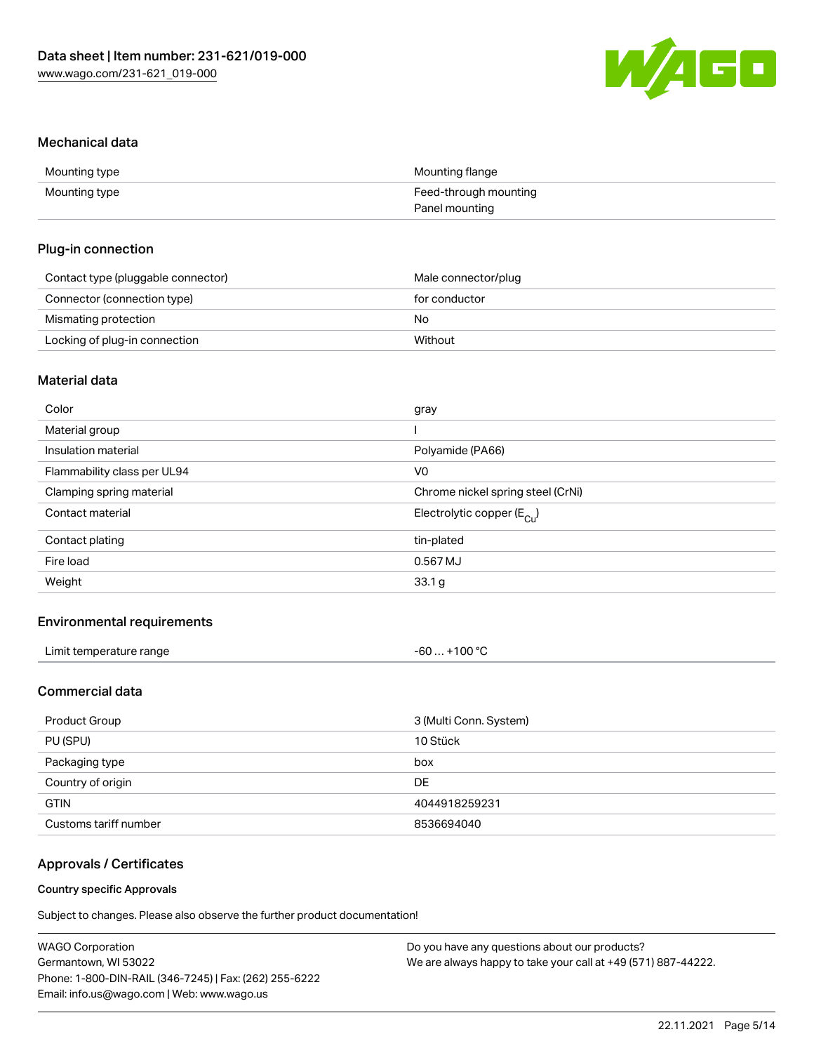

#### Mechanical data

| Mounting type | Mounting flange       |
|---------------|-----------------------|
| Mounting type | Feed-through mounting |
|               | Panel mounting        |

#### Plug-in connection

| Contact type (pluggable connector) | Male connector/plug |
|------------------------------------|---------------------|
| Connector (connection type)        | for conductor       |
| Mismating protection               | No                  |
| Locking of plug-in connection      | Without             |

## Material data

| Color                       | gray                                  |
|-----------------------------|---------------------------------------|
| Material group              |                                       |
| Insulation material         | Polyamide (PA66)                      |
| Flammability class per UL94 | V0                                    |
| Clamping spring material    | Chrome nickel spring steel (CrNi)     |
| Contact material            | Electrolytic copper $(E_{\text{Cl}})$ |
| Contact plating             | tin-plated                            |
| Fire load                   | 0.567 MJ                              |
| Weight                      | 33.1 g                                |
|                             |                                       |

#### Environmental requirements

| Limit temperature range | $-60+100 °C$ |
|-------------------------|--------------|
|-------------------------|--------------|

## Commercial data

| Product Group         | 3 (Multi Conn. System) |
|-----------------------|------------------------|
| PU (SPU)              | 10 Stück               |
| Packaging type        | box                    |
| Country of origin     | DE.                    |
| <b>GTIN</b>           | 4044918259231          |
| Customs tariff number | 8536694040             |

## Approvals / Certificates

#### Country specific Approvals

| <b>WAGO Corporation</b>                                | Do you have any questions about our products?                 |
|--------------------------------------------------------|---------------------------------------------------------------|
| Germantown, WI 53022                                   | We are always happy to take your call at +49 (571) 887-44222. |
| Phone: 1-800-DIN-RAIL (346-7245)   Fax: (262) 255-6222 |                                                               |
| Email: info.us@wago.com   Web: www.wago.us             |                                                               |
|                                                        |                                                               |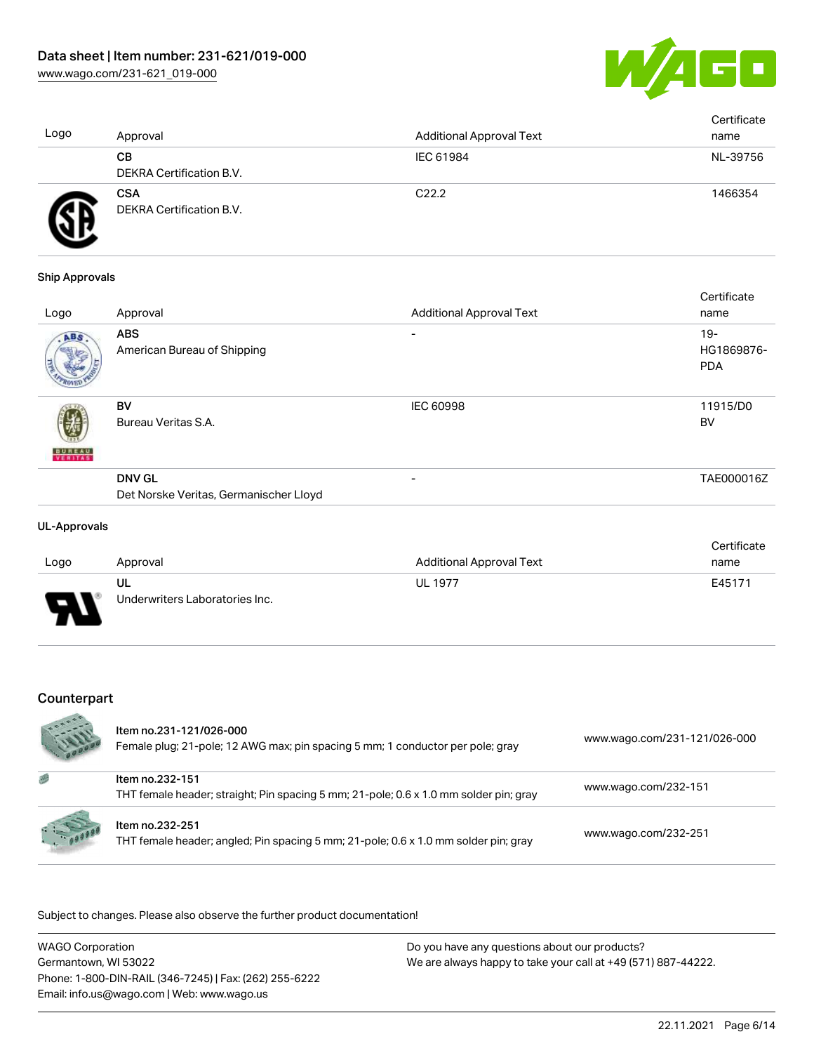

| Logo | Approval                               | <b>Additional Approval Text</b> | Certificate<br>name |
|------|----------------------------------------|---------------------------------|---------------------|
|      | CВ<br>DEKRA Certification B.V.         | IEC 61984                       | NL-39756            |
| F    | <b>CSA</b><br>DEKRA Certification B.V. | C <sub>22.2</sub>               | 1466354             |

#### Ship Approvals

| Approval                                  | <b>Additional Approval Text</b>        | name                               |
|-------------------------------------------|----------------------------------------|------------------------------------|
| <b>ABS</b><br>American Bureau of Shipping | $\overline{\phantom{0}}$               | $19 -$<br>HG1869876-<br><b>PDA</b> |
| <b>BV</b><br>Bureau Veritas S.A.          | <b>IEC 60998</b>                       | 11915/D0<br><b>BV</b>              |
| <b>DNV GL</b>                             | $\overline{\phantom{0}}$               | TAE000016Z                         |
|                                           | Det Norske Veritas, Germanischer Lloyd |                                    |

#### UL-Approvals

|        |                                |                                 | Certificate |
|--------|--------------------------------|---------------------------------|-------------|
| Logo   | Approval                       | <b>Additional Approval Text</b> | name        |
|        | UL                             | <b>UL 1977</b>                  | E45171      |
| $\Box$ | Underwriters Laboratories Inc. |                                 |             |

## Counterpart

|   | Item no.231-121/026-000<br>Female plug; 21-pole; 12 AWG max; pin spacing 5 mm; 1 conductor per pole; gray | www.wago.com/231-121/026-000 |
|---|-----------------------------------------------------------------------------------------------------------|------------------------------|
| 感 | Item no.232-151<br>THT female header; straight; Pin spacing 5 mm; 21-pole; 0.6 x 1.0 mm solder pin; gray  | www.wago.com/232-151         |
|   | Item no.232-251<br>THT female header; angled; Pin spacing 5 mm; 21-pole; 0.6 x 1.0 mm solder pin; gray    | www.wago.com/232-251         |

| <b>WAGO Corporation</b>                                | Do you have any questions about our products?                 |
|--------------------------------------------------------|---------------------------------------------------------------|
| Germantown. WI 53022                                   | We are always happy to take your call at +49 (571) 887-44222. |
| Phone: 1-800-DIN-RAIL (346-7245)   Fax: (262) 255-6222 |                                                               |
| Email: info.us@wago.com   Web: www.wago.us             |                                                               |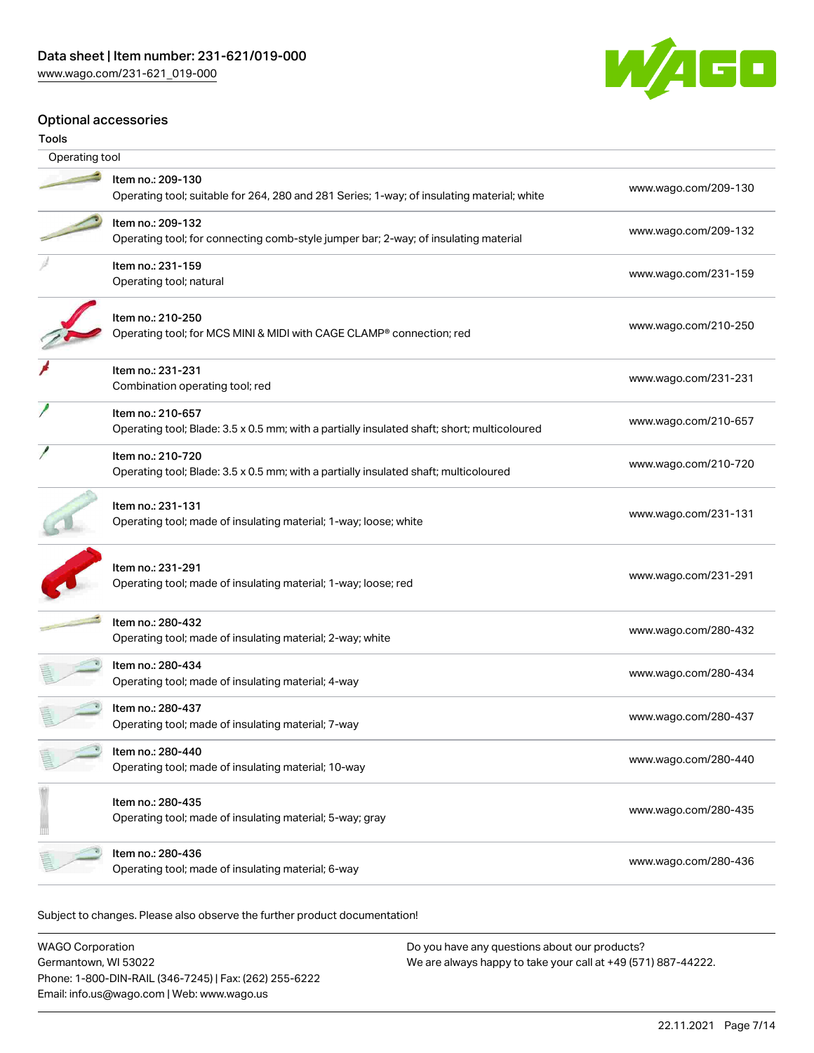

#### Optional accessories

| Operating tool |                                                                                                                  |                      |  |
|----------------|------------------------------------------------------------------------------------------------------------------|----------------------|--|
|                | Item no.: 209-130<br>Operating tool; suitable for 264, 280 and 281 Series; 1-way; of insulating material; white  | www.wago.com/209-130 |  |
|                | Item no.: 209-132<br>Operating tool; for connecting comb-style jumper bar; 2-way; of insulating material         | www.wago.com/209-132 |  |
|                | Item no.: 231-159<br>Operating tool; natural                                                                     | www.wago.com/231-159 |  |
|                | Item no.: 210-250<br>Operating tool; for MCS MINI & MIDI with CAGE CLAMP® connection; red                        | www.wago.com/210-250 |  |
|                | Item no.: 231-231<br>Combination operating tool; red                                                             | www.wago.com/231-231 |  |
|                | Item no.: 210-657<br>Operating tool; Blade: 3.5 x 0.5 mm; with a partially insulated shaft; short; multicoloured | www.wago.com/210-657 |  |
|                | Item no.: 210-720<br>Operating tool; Blade: 3.5 x 0.5 mm; with a partially insulated shaft; multicoloured        | www.wago.com/210-720 |  |
|                | Item no.: 231-131<br>Operating tool; made of insulating material; 1-way; loose; white                            | www.wago.com/231-131 |  |
|                | Item no.: 231-291<br>Operating tool; made of insulating material; 1-way; loose; red                              | www.wago.com/231-291 |  |
|                | Item no.: 280-432<br>Operating tool; made of insulating material; 2-way; white                                   | www.wago.com/280-432 |  |
|                | Item no.: 280-434<br>Operating tool; made of insulating material; 4-way                                          | www.wago.com/280-434 |  |
|                | Item no.: 280-437<br>Operating tool; made of insulating material; 7-way                                          | www.wago.com/280-437 |  |
|                | Item no.: 280-440<br>Operating tool; made of insulating material; 10-way                                         | www.wago.com/280-440 |  |
|                | Item no.: 280-435<br>Operating tool; made of insulating material; 5-way; gray                                    | www.wago.com/280-435 |  |
|                | Item no.: 280-436<br>Operating tool; made of insulating material; 6-way                                          | www.wago.com/280-436 |  |
|                |                                                                                                                  |                      |  |

| <b>WAGO Corporation</b>                                | Do you have any questions about our products?                 |
|--------------------------------------------------------|---------------------------------------------------------------|
| Germantown, WI 53022                                   | We are always happy to take your call at +49 (571) 887-44222. |
| Phone: 1-800-DIN-RAIL (346-7245)   Fax: (262) 255-6222 |                                                               |
| Email: info.us@wago.com   Web: www.wago.us             |                                                               |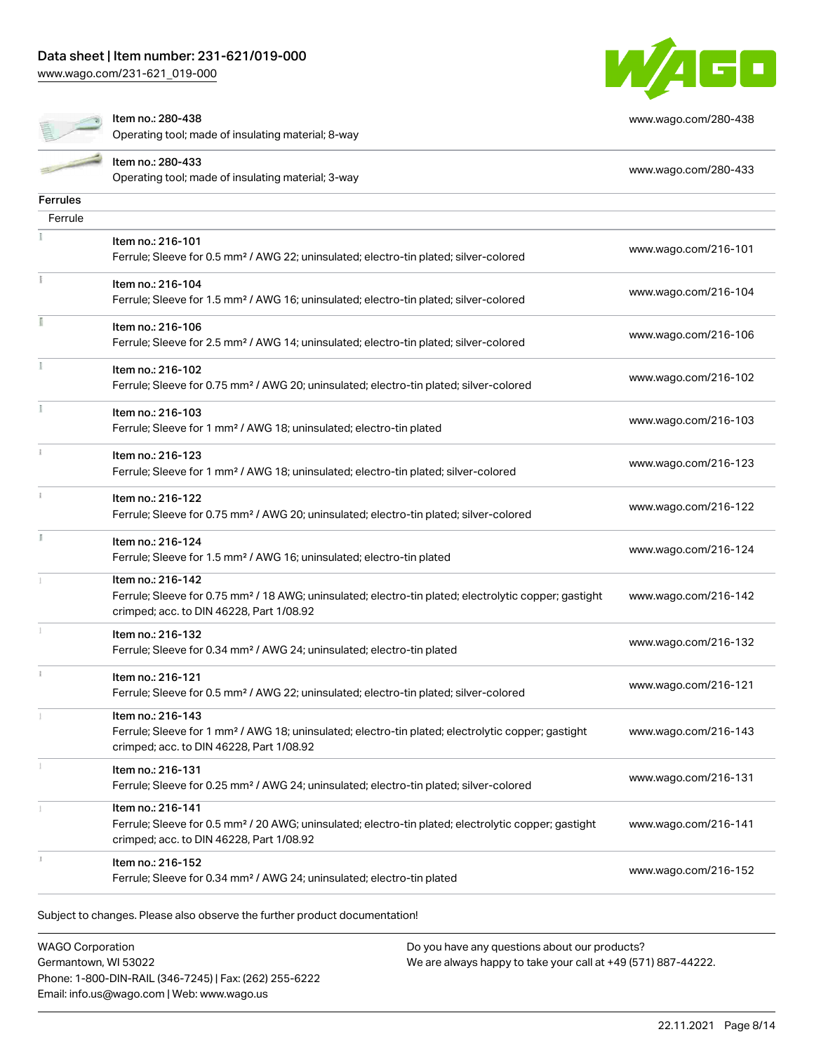[www.wago.com/231-621\\_019-000](http://www.wago.com/231-621_019-000)



[www.wago.com/280-438](http://www.wago.com/280-438)

Item no.: 280-438

Operating tool; made of insulating material; 8-way

|                 | Item no.: 280-433<br>www.wago.com/280-433<br>Operating tool; made of insulating material; 3-way                                                                                    |                      |
|-----------------|------------------------------------------------------------------------------------------------------------------------------------------------------------------------------------|----------------------|
| <b>Ferrules</b> |                                                                                                                                                                                    |                      |
| Ferrule         |                                                                                                                                                                                    |                      |
|                 | Item no.: 216-101<br>Ferrule; Sleeve for 0.5 mm <sup>2</sup> / AWG 22; uninsulated; electro-tin plated; silver-colored                                                             | www.wago.com/216-101 |
|                 | Item no.: 216-104<br>Ferrule; Sleeve for 1.5 mm <sup>2</sup> / AWG 16; uninsulated; electro-tin plated; silver-colored                                                             | www.wago.com/216-104 |
|                 | Item no.: 216-106<br>Ferrule; Sleeve for 2.5 mm <sup>2</sup> / AWG 14; uninsulated; electro-tin plated; silver-colored                                                             | www.wago.com/216-106 |
| Ĭ.              | Item no.: 216-102<br>Ferrule; Sleeve for 0.75 mm <sup>2</sup> / AWG 20; uninsulated; electro-tin plated; silver-colored                                                            | www.wago.com/216-102 |
|                 | Item no.: 216-103<br>Ferrule; Sleeve for 1 mm <sup>2</sup> / AWG 18; uninsulated; electro-tin plated                                                                               | www.wago.com/216-103 |
| î.              | Item no.: 216-123<br>Ferrule; Sleeve for 1 mm <sup>2</sup> / AWG 18; uninsulated; electro-tin plated; silver-colored                                                               | www.wago.com/216-123 |
| î.              | Item no.: 216-122<br>Ferrule; Sleeve for 0.75 mm <sup>2</sup> / AWG 20; uninsulated; electro-tin plated; silver-colored                                                            | www.wago.com/216-122 |
| I               | Item no.: 216-124<br>Ferrule; Sleeve for 1.5 mm <sup>2</sup> / AWG 16; uninsulated; electro-tin plated                                                                             | www.wago.com/216-124 |
|                 | Item no.: 216-142<br>Ferrule; Sleeve for 0.75 mm <sup>2</sup> / 18 AWG; uninsulated; electro-tin plated; electrolytic copper; gastight<br>crimped; acc. to DIN 46228, Part 1/08.92 | www.wago.com/216-142 |
|                 | Item no.: 216-132<br>Ferrule; Sleeve for 0.34 mm <sup>2</sup> / AWG 24; uninsulated; electro-tin plated                                                                            | www.wago.com/216-132 |
|                 | Item no.: 216-121<br>Ferrule; Sleeve for 0.5 mm <sup>2</sup> / AWG 22; uninsulated; electro-tin plated; silver-colored                                                             | www.wago.com/216-121 |
|                 | Item no.: 216-143<br>Ferrule; Sleeve for 1 mm <sup>2</sup> / AWG 18; uninsulated; electro-tin plated; electrolytic copper; gastight<br>crimped; acc. to DIN 46228, Part 1/08.92    | www.wago.com/216-143 |
|                 | Item no.: 216-131<br>Ferrule; Sleeve for 0.25 mm <sup>2</sup> / AWG 24; uninsulated; electro-tin plated; silver-colored                                                            | www.wago.com/216-131 |
|                 | Item no.: 216-141<br>Ferrule; Sleeve for 0.5 mm <sup>2</sup> / 20 AWG; uninsulated; electro-tin plated; electrolytic copper; gastight<br>crimped; acc. to DIN 46228, Part 1/08.92  | www.wago.com/216-141 |
|                 | Item no.: 216-152<br>Ferrule; Sleeve for 0.34 mm <sup>2</sup> / AWG 24; uninsulated; electro-tin plated                                                                            | www.wago.com/216-152 |
|                 | Subject to changes. Please also observe the further product documentation!                                                                                                         |                      |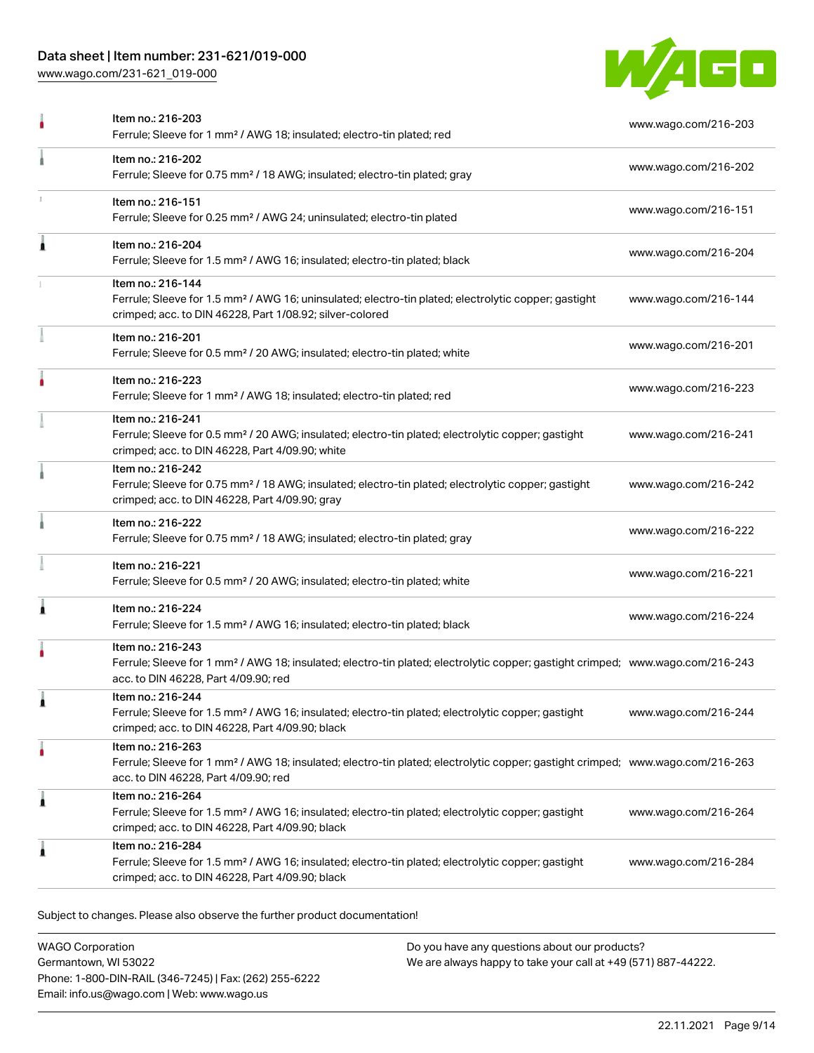## Data sheet | Item number: 231-621/019-000

[www.wago.com/231-621\\_019-000](http://www.wago.com/231-621_019-000)



|   | Item no.: 216-203<br>Ferrule; Sleeve for 1 mm <sup>2</sup> / AWG 18; insulated; electro-tin plated; red                                                                                                 | www.wago.com/216-203 |
|---|---------------------------------------------------------------------------------------------------------------------------------------------------------------------------------------------------------|----------------------|
|   | Item no.: 216-202<br>Ferrule; Sleeve for 0.75 mm <sup>2</sup> / 18 AWG; insulated; electro-tin plated; gray                                                                                             | www.wago.com/216-202 |
|   | Item no.: 216-151<br>Ferrule; Sleeve for 0.25 mm <sup>2</sup> / AWG 24; uninsulated; electro-tin plated                                                                                                 | www.wago.com/216-151 |
| Â | Item no.: 216-204<br>Ferrule; Sleeve for 1.5 mm <sup>2</sup> / AWG 16; insulated; electro-tin plated; black                                                                                             | www.wago.com/216-204 |
|   | Item no.: 216-144<br>Ferrule; Sleeve for 1.5 mm <sup>2</sup> / AWG 16; uninsulated; electro-tin plated; electrolytic copper; gastight<br>crimped; acc. to DIN 46228, Part 1/08.92; silver-colored       | www.wago.com/216-144 |
|   | Item no.: 216-201<br>Ferrule; Sleeve for 0.5 mm <sup>2</sup> / 20 AWG; insulated; electro-tin plated; white                                                                                             | www.wago.com/216-201 |
|   | Item no.: 216-223<br>Ferrule; Sleeve for 1 mm <sup>2</sup> / AWG 18; insulated; electro-tin plated; red                                                                                                 | www.wago.com/216-223 |
|   | Item no.: 216-241<br>Ferrule; Sleeve for 0.5 mm <sup>2</sup> / 20 AWG; insulated; electro-tin plated; electrolytic copper; gastight<br>crimped; acc. to DIN 46228, Part 4/09.90; white                  | www.wago.com/216-241 |
|   | Item no.: 216-242<br>Ferrule; Sleeve for 0.75 mm <sup>2</sup> / 18 AWG; insulated; electro-tin plated; electrolytic copper; gastight<br>crimped; acc. to DIN 46228, Part 4/09.90; gray                  | www.wago.com/216-242 |
|   | Item no.: 216-222<br>Ferrule; Sleeve for 0.75 mm <sup>2</sup> / 18 AWG; insulated; electro-tin plated; gray                                                                                             | www.wago.com/216-222 |
|   | Item no.: 216-221<br>Ferrule; Sleeve for 0.5 mm <sup>2</sup> / 20 AWG; insulated; electro-tin plated; white                                                                                             | www.wago.com/216-221 |
| Â | Item no.: 216-224<br>Ferrule; Sleeve for 1.5 mm <sup>2</sup> / AWG 16; insulated; electro-tin plated; black                                                                                             | www.wago.com/216-224 |
|   | Item no.: 216-243<br>Ferrule; Sleeve for 1 mm <sup>2</sup> / AWG 18; insulated; electro-tin plated; electrolytic copper; gastight crimped; www.wago.com/216-243<br>acc. to DIN 46228, Part 4/09.90; red |                      |
|   | Item no.: 216-244<br>Ferrule; Sleeve for 1.5 mm <sup>2</sup> / AWG 16; insulated; electro-tin plated; electrolytic copper; gastight<br>crimped; acc. to DIN 46228, Part 4/09.90; black                  | www.wago.com/216-244 |
|   | Item no.: 216-263<br>Ferrule; Sleeve for 1 mm <sup>2</sup> / AWG 18; insulated; electro-tin plated; electrolytic copper; gastight crimped; www.wago.com/216-263<br>acc. to DIN 46228, Part 4/09.90; red |                      |
| 1 | Item no.: 216-264<br>Ferrule; Sleeve for 1.5 mm <sup>2</sup> / AWG 16; insulated; electro-tin plated; electrolytic copper; gastight<br>crimped; acc. to DIN 46228, Part 4/09.90; black                  | www.wago.com/216-264 |
| j | Item no.: 216-284<br>Ferrule; Sleeve for 1.5 mm <sup>2</sup> / AWG 16; insulated; electro-tin plated; electrolytic copper; gastight<br>crimped; acc. to DIN 46228, Part 4/09.90; black                  | www.wago.com/216-284 |

Subject to changes. Please also observe the further product documentation!

WAGO Corporation Germantown, WI 53022 Phone: 1-800-DIN-RAIL (346-7245) | Fax: (262) 255-6222 Email: info.us@wago.com | Web: www.wago.us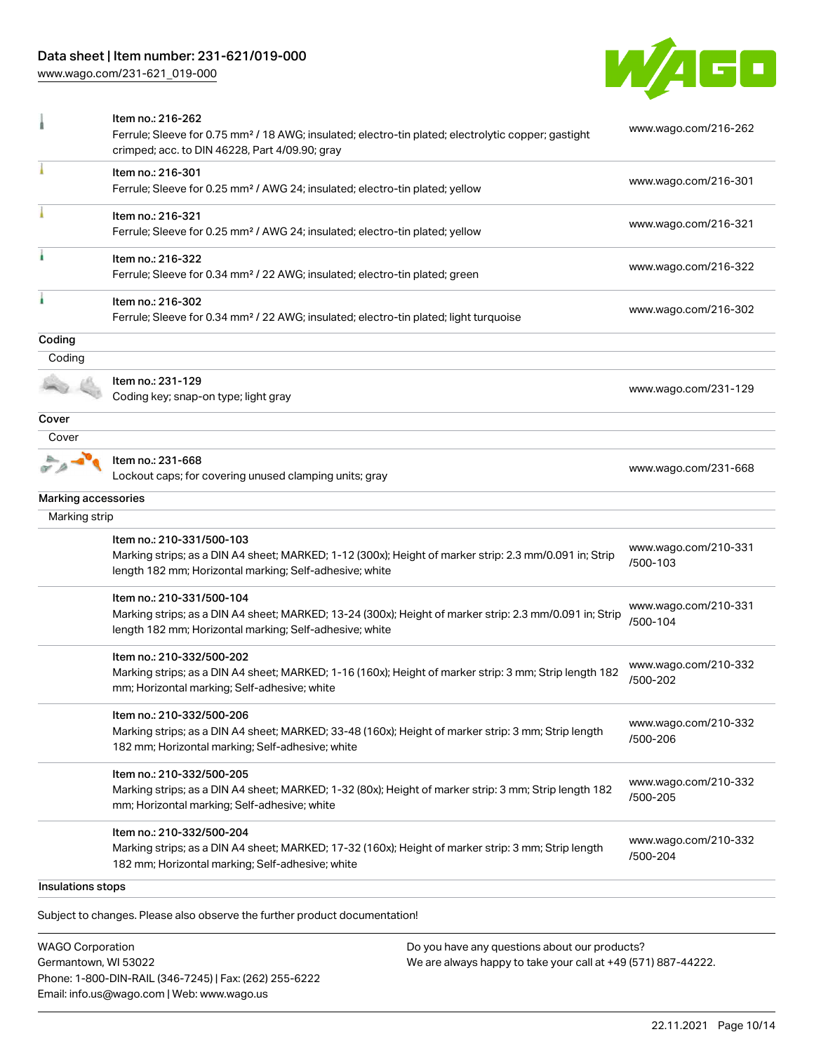# Data sheet | Item number: 231-621/019-000

[www.wago.com/231-621\\_019-000](http://www.wago.com/231-621_019-000)



| Item no.: 216-301<br>www.wago.com/216-301<br>Ferrule; Sleeve for 0.25 mm <sup>2</sup> / AWG 24; insulated; electro-tin plated; yellow<br>Item no.: 216-321<br>www.wago.com/216-321<br>Ferrule; Sleeve for 0.25 mm <sup>2</sup> / AWG 24; insulated; electro-tin plated; yellow<br>Item no.: 216-322<br>www.wago.com/216-322<br>Ferrule; Sleeve for 0.34 mm <sup>2</sup> / 22 AWG; insulated; electro-tin plated; green<br>Item no.: 216-302<br>www.wago.com/216-302<br>Ferrule; Sleeve for 0.34 mm <sup>2</sup> / 22 AWG; insulated; electro-tin plated; light turquoise<br>Coding<br>Item no.: 231-129<br>www.wago.com/231-129<br>Coding key; snap-on type; light gray<br>Cover<br>Item no.: 231-668<br>www.wago.com/231-668<br>Lockout caps; for covering unused clamping units; gray<br>Marking accessories<br>Marking strip<br>Item no.: 210-331/500-103<br>www.wago.com/210-331<br>Marking strips; as a DIN A4 sheet; MARKED; 1-12 (300x); Height of marker strip: 2.3 mm/0.091 in; Strip<br>/500-103<br>length 182 mm; Horizontal marking; Self-adhesive; white<br>Item no.: 210-331/500-104<br>www.wago.com/210-331<br>Marking strips; as a DIN A4 sheet; MARKED; 13-24 (300x); Height of marker strip: 2.3 mm/0.091 in; Strip<br>/500-104<br>length 182 mm; Horizontal marking; Self-adhesive; white<br>Item no.: 210-332/500-202<br>www.wago.com/210-332<br>Marking strips; as a DIN A4 sheet; MARKED; 1-16 (160x); Height of marker strip: 3 mm; Strip length 182<br>/500-202<br>mm; Horizontal marking; Self-adhesive; white<br>ltem no.: 210-332/500-206<br>www.wago.com/210-332<br>Marking strips; as a DIN A4 sheet; MARKED; 33-48 (160x); Height of marker strip: 3 mm; Strip length<br>/500-206<br>182 mm; Horizontal marking; Self-adhesive; white<br>Item no.: 210-332/500-205<br>www.wago.com/210-332<br>Marking strips; as a DIN A4 sheet; MARKED; 1-32 (80x); Height of marker strip: 3 mm; Strip length 182<br>/500-205<br>mm; Horizontal marking; Self-adhesive; white<br>Item no.: 210-332/500-204<br>www.wago.com/210-332<br>Marking strips; as a DIN A4 sheet; MARKED; 17-32 (160x); Height of marker strip: 3 mm; Strip length<br>/500-204<br>182 mm; Horizontal marking; Self-adhesive; white<br>Insulations stops |        | Item no.: 216-262<br>Ferrule; Sleeve for 0.75 mm <sup>2</sup> / 18 AWG; insulated; electro-tin plated; electrolytic copper; gastight<br>crimped; acc. to DIN 46228, Part 4/09.90; gray | www.wago.com/216-262 |
|------------------------------------------------------------------------------------------------------------------------------------------------------------------------------------------------------------------------------------------------------------------------------------------------------------------------------------------------------------------------------------------------------------------------------------------------------------------------------------------------------------------------------------------------------------------------------------------------------------------------------------------------------------------------------------------------------------------------------------------------------------------------------------------------------------------------------------------------------------------------------------------------------------------------------------------------------------------------------------------------------------------------------------------------------------------------------------------------------------------------------------------------------------------------------------------------------------------------------------------------------------------------------------------------------------------------------------------------------------------------------------------------------------------------------------------------------------------------------------------------------------------------------------------------------------------------------------------------------------------------------------------------------------------------------------------------------------------------------------------------------------------------------------------------------------------------------------------------------------------------------------------------------------------------------------------------------------------------------------------------------------------------------------------------------------------------------------------------------------------------------------------------------------------------------------------------------------------------------------------------|--------|----------------------------------------------------------------------------------------------------------------------------------------------------------------------------------------|----------------------|
|                                                                                                                                                                                                                                                                                                                                                                                                                                                                                                                                                                                                                                                                                                                                                                                                                                                                                                                                                                                                                                                                                                                                                                                                                                                                                                                                                                                                                                                                                                                                                                                                                                                                                                                                                                                                                                                                                                                                                                                                                                                                                                                                                                                                                                                |        |                                                                                                                                                                                        |                      |
|                                                                                                                                                                                                                                                                                                                                                                                                                                                                                                                                                                                                                                                                                                                                                                                                                                                                                                                                                                                                                                                                                                                                                                                                                                                                                                                                                                                                                                                                                                                                                                                                                                                                                                                                                                                                                                                                                                                                                                                                                                                                                                                                                                                                                                                |        |                                                                                                                                                                                        |                      |
|                                                                                                                                                                                                                                                                                                                                                                                                                                                                                                                                                                                                                                                                                                                                                                                                                                                                                                                                                                                                                                                                                                                                                                                                                                                                                                                                                                                                                                                                                                                                                                                                                                                                                                                                                                                                                                                                                                                                                                                                                                                                                                                                                                                                                                                |        |                                                                                                                                                                                        |                      |
|                                                                                                                                                                                                                                                                                                                                                                                                                                                                                                                                                                                                                                                                                                                                                                                                                                                                                                                                                                                                                                                                                                                                                                                                                                                                                                                                                                                                                                                                                                                                                                                                                                                                                                                                                                                                                                                                                                                                                                                                                                                                                                                                                                                                                                                |        |                                                                                                                                                                                        |                      |
|                                                                                                                                                                                                                                                                                                                                                                                                                                                                                                                                                                                                                                                                                                                                                                                                                                                                                                                                                                                                                                                                                                                                                                                                                                                                                                                                                                                                                                                                                                                                                                                                                                                                                                                                                                                                                                                                                                                                                                                                                                                                                                                                                                                                                                                | Coding |                                                                                                                                                                                        |                      |
|                                                                                                                                                                                                                                                                                                                                                                                                                                                                                                                                                                                                                                                                                                                                                                                                                                                                                                                                                                                                                                                                                                                                                                                                                                                                                                                                                                                                                                                                                                                                                                                                                                                                                                                                                                                                                                                                                                                                                                                                                                                                                                                                                                                                                                                |        |                                                                                                                                                                                        |                      |
|                                                                                                                                                                                                                                                                                                                                                                                                                                                                                                                                                                                                                                                                                                                                                                                                                                                                                                                                                                                                                                                                                                                                                                                                                                                                                                                                                                                                                                                                                                                                                                                                                                                                                                                                                                                                                                                                                                                                                                                                                                                                                                                                                                                                                                                |        |                                                                                                                                                                                        |                      |
|                                                                                                                                                                                                                                                                                                                                                                                                                                                                                                                                                                                                                                                                                                                                                                                                                                                                                                                                                                                                                                                                                                                                                                                                                                                                                                                                                                                                                                                                                                                                                                                                                                                                                                                                                                                                                                                                                                                                                                                                                                                                                                                                                                                                                                                | Cover  |                                                                                                                                                                                        |                      |
|                                                                                                                                                                                                                                                                                                                                                                                                                                                                                                                                                                                                                                                                                                                                                                                                                                                                                                                                                                                                                                                                                                                                                                                                                                                                                                                                                                                                                                                                                                                                                                                                                                                                                                                                                                                                                                                                                                                                                                                                                                                                                                                                                                                                                                                |        |                                                                                                                                                                                        |                      |
|                                                                                                                                                                                                                                                                                                                                                                                                                                                                                                                                                                                                                                                                                                                                                                                                                                                                                                                                                                                                                                                                                                                                                                                                                                                                                                                                                                                                                                                                                                                                                                                                                                                                                                                                                                                                                                                                                                                                                                                                                                                                                                                                                                                                                                                |        |                                                                                                                                                                                        |                      |
|                                                                                                                                                                                                                                                                                                                                                                                                                                                                                                                                                                                                                                                                                                                                                                                                                                                                                                                                                                                                                                                                                                                                                                                                                                                                                                                                                                                                                                                                                                                                                                                                                                                                                                                                                                                                                                                                                                                                                                                                                                                                                                                                                                                                                                                |        |                                                                                                                                                                                        |                      |
|                                                                                                                                                                                                                                                                                                                                                                                                                                                                                                                                                                                                                                                                                                                                                                                                                                                                                                                                                                                                                                                                                                                                                                                                                                                                                                                                                                                                                                                                                                                                                                                                                                                                                                                                                                                                                                                                                                                                                                                                                                                                                                                                                                                                                                                |        |                                                                                                                                                                                        |                      |
|                                                                                                                                                                                                                                                                                                                                                                                                                                                                                                                                                                                                                                                                                                                                                                                                                                                                                                                                                                                                                                                                                                                                                                                                                                                                                                                                                                                                                                                                                                                                                                                                                                                                                                                                                                                                                                                                                                                                                                                                                                                                                                                                                                                                                                                |        |                                                                                                                                                                                        |                      |
|                                                                                                                                                                                                                                                                                                                                                                                                                                                                                                                                                                                                                                                                                                                                                                                                                                                                                                                                                                                                                                                                                                                                                                                                                                                                                                                                                                                                                                                                                                                                                                                                                                                                                                                                                                                                                                                                                                                                                                                                                                                                                                                                                                                                                                                |        |                                                                                                                                                                                        |                      |
|                                                                                                                                                                                                                                                                                                                                                                                                                                                                                                                                                                                                                                                                                                                                                                                                                                                                                                                                                                                                                                                                                                                                                                                                                                                                                                                                                                                                                                                                                                                                                                                                                                                                                                                                                                                                                                                                                                                                                                                                                                                                                                                                                                                                                                                |        |                                                                                                                                                                                        |                      |
|                                                                                                                                                                                                                                                                                                                                                                                                                                                                                                                                                                                                                                                                                                                                                                                                                                                                                                                                                                                                                                                                                                                                                                                                                                                                                                                                                                                                                                                                                                                                                                                                                                                                                                                                                                                                                                                                                                                                                                                                                                                                                                                                                                                                                                                |        |                                                                                                                                                                                        |                      |
|                                                                                                                                                                                                                                                                                                                                                                                                                                                                                                                                                                                                                                                                                                                                                                                                                                                                                                                                                                                                                                                                                                                                                                                                                                                                                                                                                                                                                                                                                                                                                                                                                                                                                                                                                                                                                                                                                                                                                                                                                                                                                                                                                                                                                                                |        |                                                                                                                                                                                        |                      |
|                                                                                                                                                                                                                                                                                                                                                                                                                                                                                                                                                                                                                                                                                                                                                                                                                                                                                                                                                                                                                                                                                                                                                                                                                                                                                                                                                                                                                                                                                                                                                                                                                                                                                                                                                                                                                                                                                                                                                                                                                                                                                                                                                                                                                                                |        |                                                                                                                                                                                        |                      |
|                                                                                                                                                                                                                                                                                                                                                                                                                                                                                                                                                                                                                                                                                                                                                                                                                                                                                                                                                                                                                                                                                                                                                                                                                                                                                                                                                                                                                                                                                                                                                                                                                                                                                                                                                                                                                                                                                                                                                                                                                                                                                                                                                                                                                                                |        |                                                                                                                                                                                        |                      |

.<br>Subject to changes. Please also observe the further product documentation!

WAGO Corporation Germantown, WI 53022 Phone: 1-800-DIN-RAIL (346-7245) | Fax: (262) 255-6222 Email: info.us@wago.com | Web: www.wago.us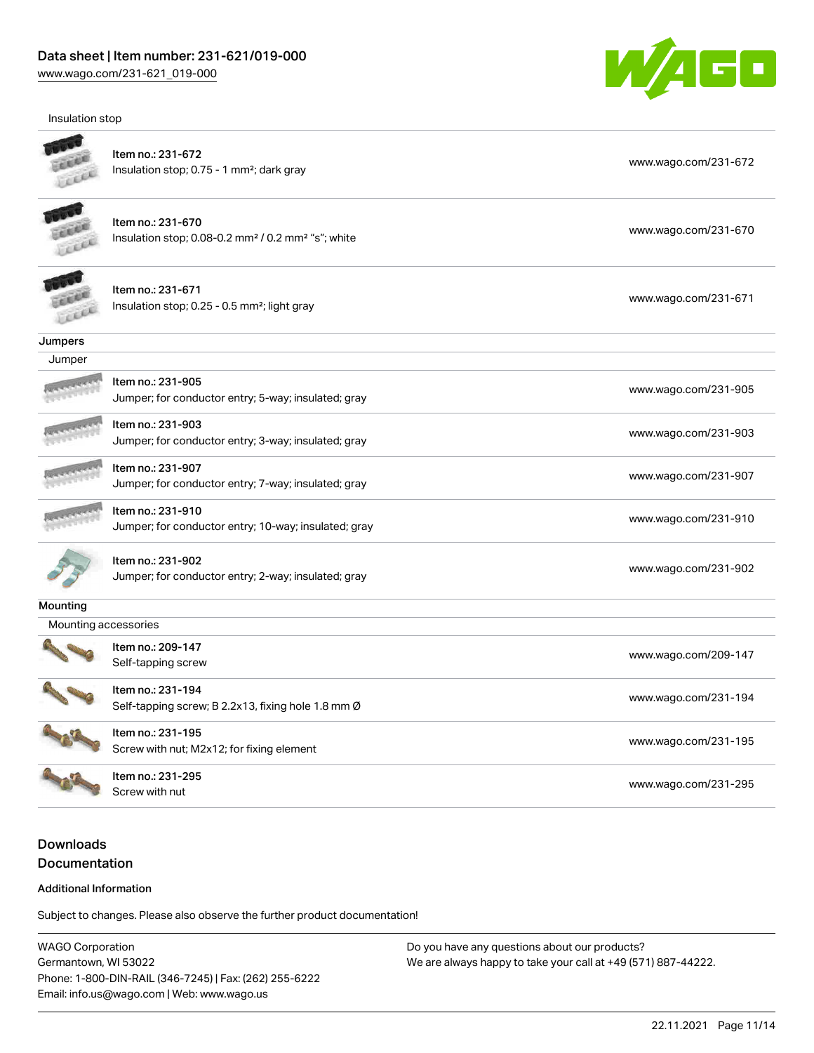Insulation stop



|                      | Item no.: 231-672<br>Insulation stop; 0.75 - 1 mm <sup>2</sup> ; dark gray                      | www.wago.com/231-672 |
|----------------------|-------------------------------------------------------------------------------------------------|----------------------|
|                      | Item no.: 231-670<br>Insulation stop; 0.08-0.2 mm <sup>2</sup> / 0.2 mm <sup>2</sup> "s"; white | www.wago.com/231-670 |
|                      | Item no.: 231-671<br>Insulation stop; 0.25 - 0.5 mm <sup>2</sup> ; light gray                   | www.wago.com/231-671 |
| Jumpers              |                                                                                                 |                      |
| Jumper               |                                                                                                 |                      |
|                      | Item no.: 231-905<br>Jumper; for conductor entry; 5-way; insulated; gray                        | www.wago.com/231-905 |
|                      | Item no.: 231-903<br>Jumper; for conductor entry; 3-way; insulated; gray                        | www.wago.com/231-903 |
|                      | Item no.: 231-907<br>Jumper; for conductor entry; 7-way; insulated; gray                        | www.wago.com/231-907 |
|                      | Item no.: 231-910<br>Jumper; for conductor entry; 10-way; insulated; gray                       | www.wago.com/231-910 |
|                      | Item no.: 231-902<br>Jumper; for conductor entry; 2-way; insulated; gray                        | www.wago.com/231-902 |
| <b>Mounting</b>      |                                                                                                 |                      |
| Mounting accessories |                                                                                                 |                      |
|                      | Item no.: 209-147<br>Self-tapping screw                                                         | www.wago.com/209-147 |
|                      | Item no.: 231-194<br>Self-tapping screw; B 2.2x13, fixing hole 1.8 mm Ø                         | www.wago.com/231-194 |
| SALLARS              | Item no.: 231-195<br>Screw with nut; M2x12; for fixing element                                  | www.wago.com/231-195 |
|                      | Item no.: 231-295<br>Screw with nut                                                             | www.wago.com/231-295 |

Downloads Documentation

#### Additional Information

Subject to changes. Please also observe the further product documentation!

WAGO Corporation Germantown, WI 53022 Phone: 1-800-DIN-RAIL (346-7245) | Fax: (262) 255-6222 Email: info.us@wago.com | Web: www.wago.us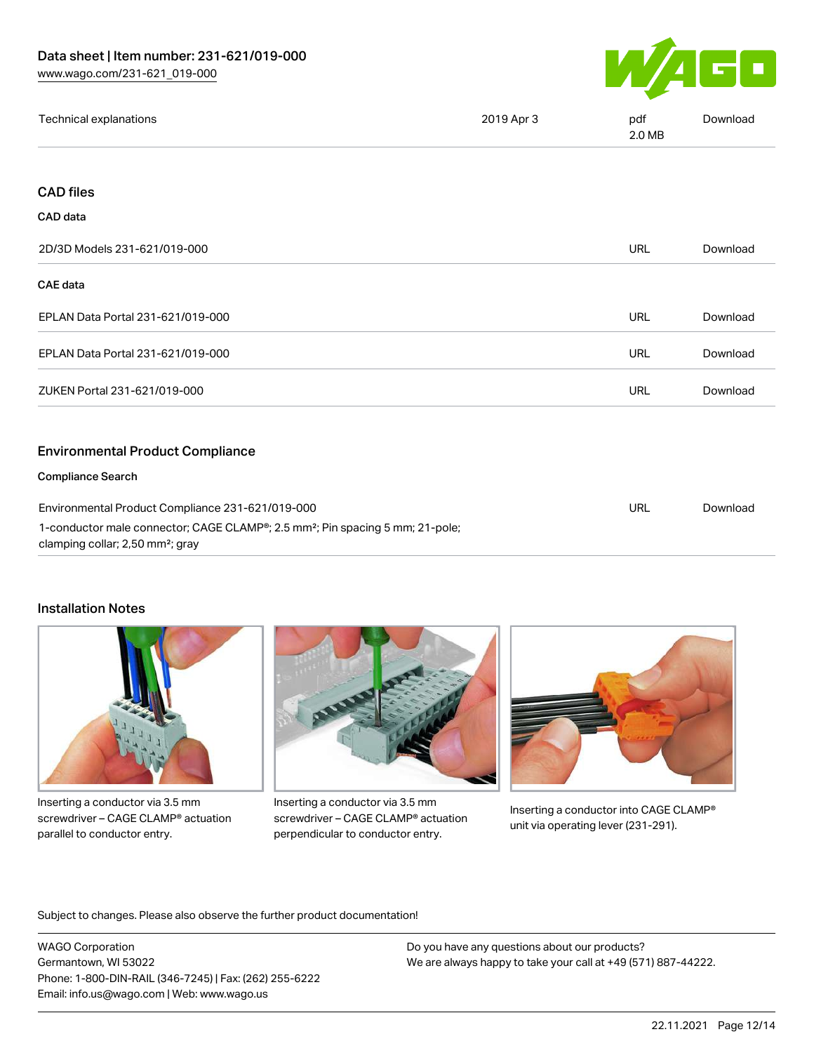

| 2019 Apr 3<br>Technical explanations<br>pdf<br>Download<br>2.0 MB |
|-------------------------------------------------------------------|
|-------------------------------------------------------------------|

## CAD files

#### CAD data

| 2D/3D Models 231-621/019-000                                                                                                                  |            | Download |
|-----------------------------------------------------------------------------------------------------------------------------------------------|------------|----------|
| CAE data                                                                                                                                      |            |          |
| EPLAN Data Portal 231-621/019-000                                                                                                             | <b>URL</b> | Download |
| EPLAN Data Portal 231-621/019-000                                                                                                             | URL        | Download |
| ZUKEN Portal 231-621/019-000                                                                                                                  | <b>URL</b> | Download |
| <b>Environmental Product Compliance</b>                                                                                                       |            |          |
| <b>Compliance Search</b>                                                                                                                      |            |          |
| Environmental Product Compliance 231-621/019-000<br>1-conductor male connector; CAGE CLAMP®; 2.5 mm <sup>2</sup> ; Pin spacing 5 mm; 21-pole; |            | Download |

clamping collar; 2,50 mm²; gray

## Installation Notes



Inserting a conductor via 3.5 mm screwdriver – CAGE CLAMP® actuation parallel to conductor entry.



Inserting a conductor via 3.5 mm screwdriver – CAGE CLAMP® actuation perpendicular to conductor entry.



Inserting a conductor into CAGE CLAMP® unit via operating lever (231-291).

Subject to changes. Please also observe the further product documentation!

WAGO Corporation Germantown, WI 53022 Phone: 1-800-DIN-RAIL (346-7245) | Fax: (262) 255-6222 Email: info.us@wago.com | Web: www.wago.us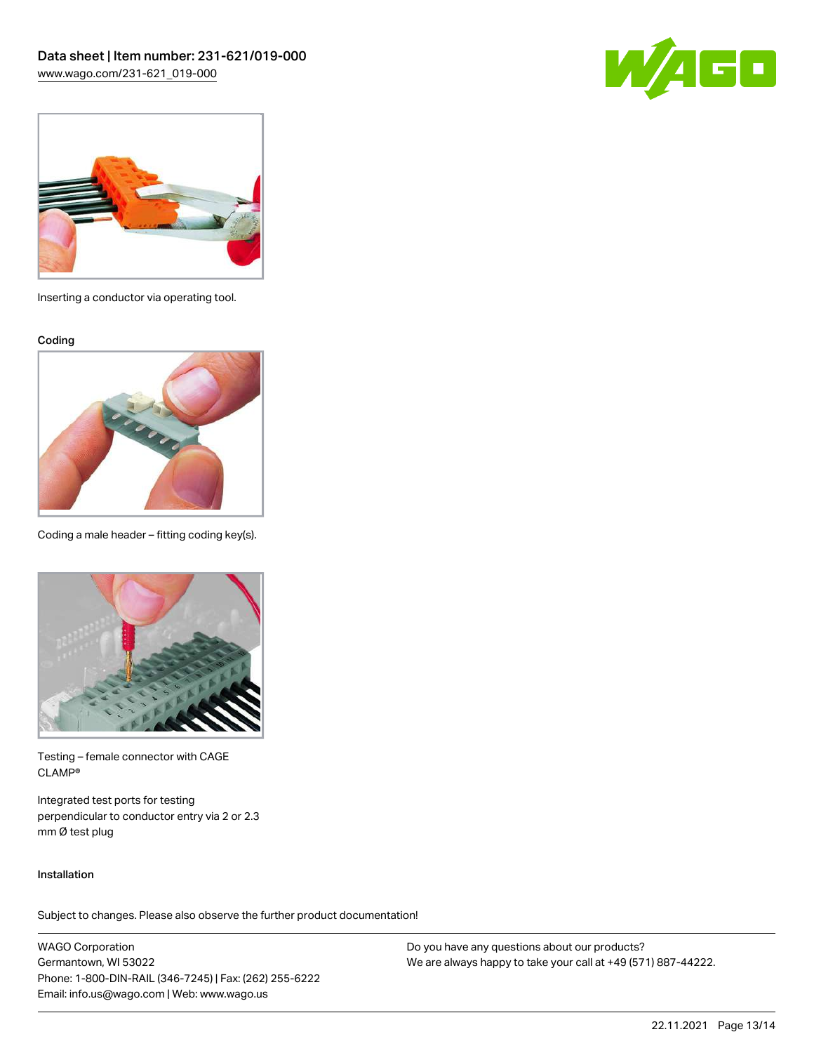



Inserting a conductor via operating tool.

Coding



Coding a male header – fitting coding key(s).



Testing – female connector with CAGE CLAMP®

Integrated test ports for testing perpendicular to conductor entry via 2 or 2.3 mm Ø test plug

#### Installation

Subject to changes. Please also observe the further product documentation!

WAGO Corporation Germantown, WI 53022 Phone: 1-800-DIN-RAIL (346-7245) | Fax: (262) 255-6222 Email: info.us@wago.com | Web: www.wago.us